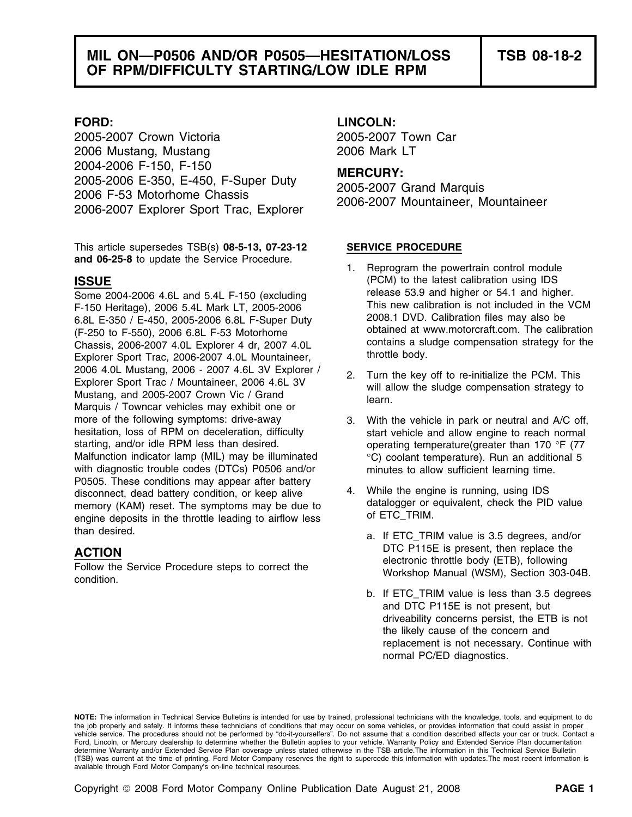2005-2007 Crown Victoria 2005-2007 Town Car 2006 Mustang, Mustang 2006 Mark LT 2004-2006 F-150, F-150<br>2005-2006 E-350, E-450, F-Super Duty **MERCURY:**<br>2006 F-53 Motorhome Chassis 2005-2007 Grand Marquis<br>2006-2007 Explorer Sport Trac, Explorer 2006-2007 Mountaineer, Mountaineer

This article supersedes TSB(s) **08-5-13, 07-23-12 SERVICE PROCEDURE and 06-25-8** to update the Service Procedure.<br>1. Reprogram the powertrain control module

F-150 Heritage), 2006 5.4L Mark LT, 2005-2006 This new calibration is not included in the VCM F-150 Ferition is not included in the VCM F-450 2006-2006 6.8L F-Super Duty 6.8L E-350 / E-450, 2005-2006 6.8L F-Super Duty<br>(F-250 to F-550), 2006 6.8L F-53 Motorhome obtained at www.motorcraft.com. The calibration<br>Chassis 2006-2007 4.0L Explorer 4.dr. 2007 4.0L contains a sludge compensation stra Chassis, 2006-2007 4.0L Explorer 4 dr, 2007 4.0L contains a sludge contains a sludge compensation strategy for<br>Explorer Sport Trac, 2006-2007 4.0L Mountaineer the throttle body. Explorer Sport Trac, 2006-2007 4.0L Mountaineer, 2006 4.0L Mustang, 2006 - 2007 4.6L 3V Explorer /<br>
Explorer Sport Trac / Mountaineer, 2006 4.6L 3V<br>
Mustang, and 2005-2007 Crown Vic / Grand<br>
Marquis / Towncar vehicles may exhibit one or<br>
Marquis / Towncar vehicles may ex more of the following symptoms: drive-away 3. With the vehicle in park or neutral and A/C off, hesitation, loss of RPM on deceleration, difficulty start vehicle and allow engine to reach normal starting, and/or idle RPM less than desired.  $\blacksquare$  operating temperature(greater than 170 °F (77) Malfunction indicator lamp (MIL) may be illuminated <sup>o</sup>C) coolant temperature). Run an additional 5 with diagnostic trouble codes (DTCs) P0506 and/or minutes to allow sufficient learning time. P0505. These conditions may appear after battery disconnect, dead battery condition, or keep alive  $\frac{4}{4}$ . While the engine is running, using IDS<br>memory (KAM) reset. The symptoms may be due to datalogger or equivalent, check the PID value memory (KAM) reset. The symptoms may be due to datalogger or equivalent memory (KAM) reset. The symptoms may be due to  $\frac{1}{2}$  of ETC\_TRIM. engine deposits in the throttle leading to airflow less than desired. The same of the same of the same of the same of the same of the same of the same of the same of the same of the same of the same of the same of the same of the same of the same of the same of the same of the

## **FORD: LINCOLN:**

- **ISSUE ISSUE ISSUE** Some 2004-2006 4.6L and 5.4L F-150 (excluding release 53.9 and higher or 54.1 and higher.<br>F-150 Heritage), 2006 5.4L Mark LT, 2005-2006 This new calibration is not included in the VCM
	-
	-
	-
- **ACTION**<br>
Follow the Service Procedure steps to correct the **EXACTION**<br>
electronic throttle body (ETB), following<br>
Workshop Manual (WSM), Section 303-04B.
	- b. If ETC\_TRIM value is less than 3.5 degrees and DTC P115E is not present, but driveability concerns persist, the ETB is not the likely cause of the concern and replacement is not necessary. Continue with normal PC/ED diagnostics.

**NOTE:** The information in Technical Service Bulletins is intended for use by trained, professional technicians with the knowledge, tools, and equipment to do the job properly and safely. It informs these technicians of conditions that may occur on some vehicles, or provides information that could assist in proper vehicle service. The procedures should not be performed by "do-it-yourselfers". Do not assume that a condition described affects your car or truck. Contact a Ford, Lincoln, or Mercury dealership to determine whether the Bulletin applies to your vehicle. Warranty Policy and Extended Service Plan documentation determine Warranty and/or Extended Service Plan coverage unless stated otherwise in the TSB article.The information in this Technical Service Bulletin (TSB) was current at the time of printing. Ford Motor Company reserves the right to supercede this information with updates.The most recent information is available through Ford Motor Company's on-line technical resources.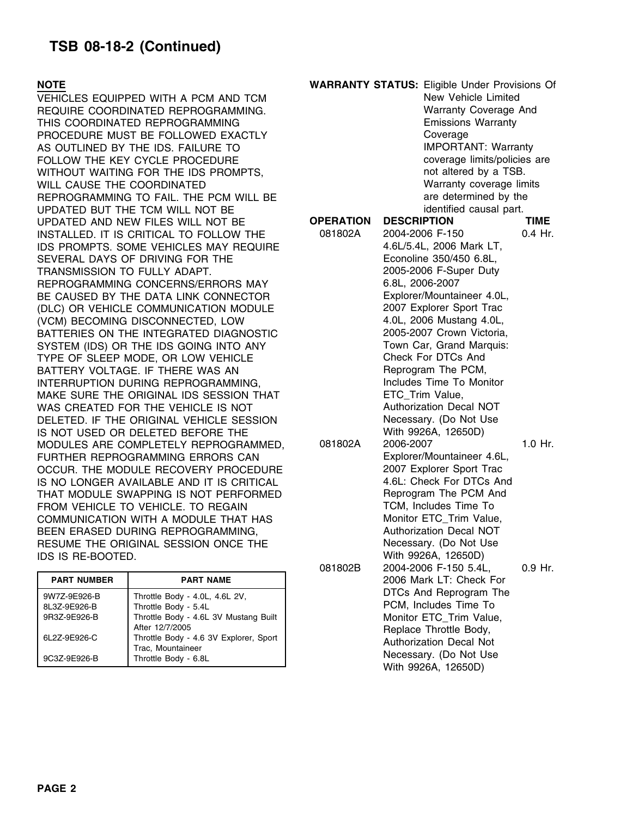|                                                                              |                                                                                                                                                                                                           | ------ | ________________________                                                                                                                                                                     |
|------------------------------------------------------------------------------|-----------------------------------------------------------------------------------------------------------------------------------------------------------------------------------------------------------|--------|----------------------------------------------------------------------------------------------------------------------------------------------------------------------------------------------|
| <b>PART NUMBER</b>                                                           | <b>PART NAME</b>                                                                                                                                                                                          |        | 2006 Mark LT: Check For                                                                                                                                                                      |
| 9W7Z-9E926-B<br>8L3Z-9E926-B<br>9R3Z-9E926-B<br>6L2Z-9E926-C<br>9C3Z-9E926-B | Throttle Body - 4.0L, 4.6L 2V,<br>Throttle Body - 5.4L<br>Throttle Body - 4.6L 3V Mustang Built<br>After 12/7/2005<br>Throttle Body - 4.6 3V Explorer, Sport<br>Trac, Mountaineer<br>Throttle Body - 6.8L |        | DTCs And Reprogram The<br>PCM, Includes Time To<br>Monitor ETC Trim Value,<br>Replace Throttle Body,<br><b>Authorization Decal Not</b><br>Necessary. (Do Not Use<br>$Mith$ $QQ2RA$ $12650D)$ |
|                                                                              |                                                                                                                                                                                                           |        |                                                                                                                                                                                              |

| NOTE                                 |                                                        | <b>WARRANTY STATUS: Eligible Under Provisions Of</b> |                                |             |  |
|--------------------------------------|--------------------------------------------------------|------------------------------------------------------|--------------------------------|-------------|--|
| VEHICLES EQUIPPED WITH A PCM AND TCM |                                                        | New Vehicle Limited                                  |                                |             |  |
|                                      | REQUIRE COORDINATED REPROGRAMMING.                     | Warranty Coverage And                                |                                |             |  |
|                                      | THIS COORDINATED REPROGRAMMING                         | <b>Emissions Warranty</b>                            |                                |             |  |
|                                      | PROCEDURE MUST BE FOLLOWED EXACTLY                     |                                                      | Coverage                       |             |  |
|                                      | AS OUTLINED BY THE IDS. FAILURE TO                     | <b>IMPORTANT: Warranty</b>                           |                                |             |  |
|                                      | FOLLOW THE KEY CYCLE PROCEDURE                         |                                                      | coverage limits/policies are   |             |  |
|                                      | WITHOUT WAITING FOR THE IDS PROMPTS,                   |                                                      | not altered by a TSB.          |             |  |
| WILL CAUSE THE COORDINATED           |                                                        |                                                      | Warranty coverage limits       |             |  |
|                                      | REPROGRAMMING TO FAIL. THE PCM WILL BE                 |                                                      | are determined by the          |             |  |
|                                      | UPDATED BUT THE TCM WILL NOT BE                        |                                                      | identified causal part.        |             |  |
|                                      | UPDATED AND NEW FILES WILL NOT BE                      | <b>OPERATION</b>                                     | <b>DESCRIPTION</b>             | <b>TIME</b> |  |
|                                      | INSTALLED. IT IS CRITICAL TO FOLLOW THE                | 081802A                                              | 2004-2006 F-150                | $0.4$ Hr.   |  |
|                                      | IDS PROMPTS. SOME VEHICLES MAY REQUIRE                 |                                                      | 4.6L/5.4L, 2006 Mark LT,       |             |  |
|                                      | SEVERAL DAYS OF DRIVING FOR THE                        |                                                      | Econoline 350/450 6.8L,        |             |  |
| TRANSMISSION TO FULLY ADAPT.         |                                                        |                                                      | 2005-2006 F-Super Duty         |             |  |
|                                      | REPROGRAMMING CONCERNS/ERRORS MAY                      |                                                      | 6.8L, 2006-2007                |             |  |
|                                      | BE CAUSED BY THE DATA LINK CONNECTOR                   |                                                      | Explorer/Mountaineer 4.0L,     |             |  |
|                                      | (DLC) OR VEHICLE COMMUNICATION MODULE                  |                                                      | 2007 Explorer Sport Trac       |             |  |
|                                      | (VCM) BECOMING DISCONNECTED, LOW                       |                                                      | 4.0L, 2006 Mustang 4.0L,       |             |  |
|                                      | BATTERIES ON THE INTEGRATED DIAGNOSTIC                 |                                                      | 2005-2007 Crown Victoria,      |             |  |
|                                      | SYSTEM (IDS) OR THE IDS GOING INTO ANY                 |                                                      | Town Car, Grand Marquis:       |             |  |
|                                      | TYPE OF SLEEP MODE, OR LOW VEHICLE                     |                                                      | Check For DTCs And             |             |  |
|                                      | BATTERY VOLTAGE. IF THERE WAS AN                       |                                                      | Reprogram The PCM,             |             |  |
|                                      | INTERRUPTION DURING REPROGRAMMING,                     |                                                      | Includes Time To Monitor       |             |  |
|                                      | MAKE SURE THE ORIGINAL IDS SESSION THAT                |                                                      | ETC_Trim Value,                |             |  |
|                                      | WAS CREATED FOR THE VEHICLE IS NOT                     |                                                      | Authorization Decal NOT        |             |  |
|                                      | DELETED. IF THE ORIGINAL VEHICLE SESSION               |                                                      | Necessary. (Do Not Use         |             |  |
|                                      | IS NOT USED OR DELETED BEFORE THE                      |                                                      | With 9926A, 12650D)            |             |  |
|                                      | MODULES ARE COMPLETELY REPROGRAMMED,                   | 081802A                                              | 2006-2007                      | $1.0$ Hr.   |  |
|                                      | FURTHER REPROGRAMMING ERRORS CAN                       |                                                      | Explorer/Mountaineer 4.6L,     |             |  |
|                                      | OCCUR. THE MODULE RECOVERY PROCEDURE                   |                                                      | 2007 Explorer Sport Trac       |             |  |
|                                      | IS NO LONGER AVAILABLE AND IT IS CRITICAL              |                                                      | 4.6L: Check For DTCs And       |             |  |
|                                      | THAT MODULE SWAPPING IS NOT PERFORMED                  |                                                      | Reprogram The PCM And          |             |  |
|                                      | FROM VEHICLE TO VEHICLE. TO REGAIN                     |                                                      | TCM, Includes Time To          |             |  |
|                                      | COMMUNICATION WITH A MODULE THAT HAS                   |                                                      | Monitor ETC_Trim Value,        |             |  |
|                                      | BEEN ERASED DURING REPROGRAMMING,                      |                                                      | Authorization Decal NOT        |             |  |
| RESUME THE ORIGINAL SESSION ONCE THE |                                                        |                                                      | Necessary. (Do Not Use         |             |  |
| ids is re-booted.                    |                                                        |                                                      | With 9926A, 12650D)            |             |  |
|                                      |                                                        | 081802B                                              | 2004-2006 F-150 5.4L,          | $0.9$ Hr.   |  |
| <b>PART NUMBER</b>                   | <b>PART NAME</b>                                       |                                                      | 2006 Mark LT: Check For        |             |  |
|                                      |                                                        |                                                      | DTCs And Reprogram The         |             |  |
| 9W7Z-9E926-B<br>8L3Z-9E926-B         | Throttle Body - 4.0L, 4.6L 2V,<br>Throttle Body - 5.4L |                                                      | PCM, Includes Time To          |             |  |
| 9R3Z-9E926-B                         | Throttle Body - 4.6L 3V Mustang Built                  |                                                      | Monitor ETC_Trim Value,        |             |  |
|                                      | After 12/7/2005                                        |                                                      | Replace Throttle Body,         |             |  |
| 6L2Z-9E926-C                         | Throttle Body - 4.6 3V Explorer, Sport                 |                                                      | <b>Authorization Decal Not</b> |             |  |
|                                      | Trac, Mountaineer                                      |                                                      | Necessary. (Do Not Use         |             |  |
| 9C3Z-9E926-B                         | Throttle Body - 6.8L                                   |                                                      | With 9926A, 12650D)            |             |  |
|                                      |                                                        |                                                      |                                |             |  |